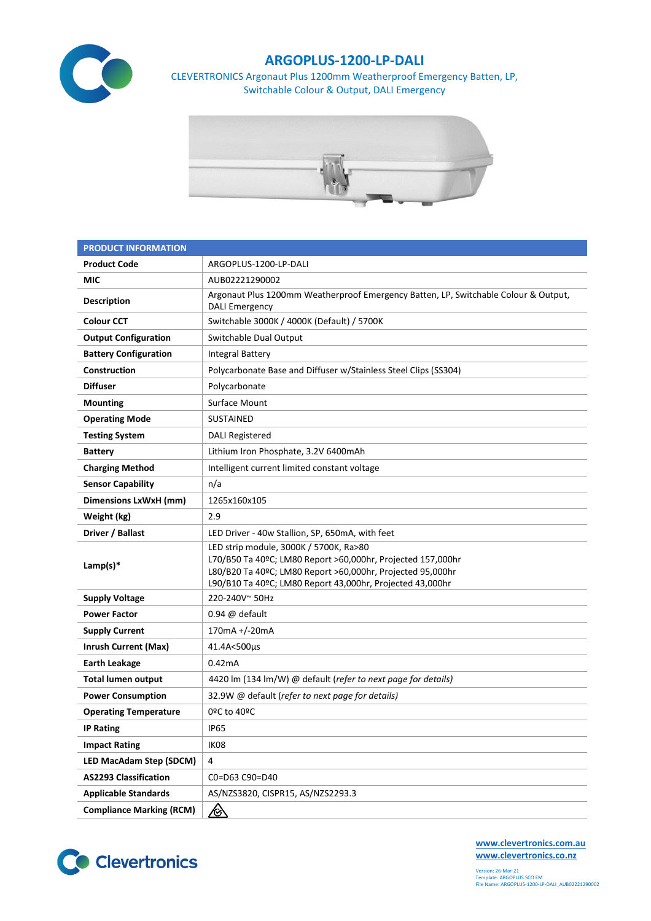

## **ARGOPLUS-1200-LP-DALI**

CLEVERTRONICS Argonaut Plus 1200mm Weatherproof Emergency Batten, LP, Switchable Colour & Output, DALI Emergency



| <b>PRODUCT INFORMATION</b>      |                                                                                                                                                                                                                                  |  |  |  |  |
|---------------------------------|----------------------------------------------------------------------------------------------------------------------------------------------------------------------------------------------------------------------------------|--|--|--|--|
| <b>Product Code</b>             | ARGOPLUS-1200-LP-DALI                                                                                                                                                                                                            |  |  |  |  |
| MIC                             | AUB02221290002                                                                                                                                                                                                                   |  |  |  |  |
| <b>Description</b>              | Argonaut Plus 1200mm Weatherproof Emergency Batten, LP, Switchable Colour & Output,<br><b>DALI Emergency</b>                                                                                                                     |  |  |  |  |
| <b>Colour CCT</b>               | Switchable 3000K / 4000K (Default) / 5700K                                                                                                                                                                                       |  |  |  |  |
| <b>Output Configuration</b>     | Switchable Dual Output                                                                                                                                                                                                           |  |  |  |  |
| <b>Battery Configuration</b>    | <b>Integral Battery</b>                                                                                                                                                                                                          |  |  |  |  |
| Construction                    | Polycarbonate Base and Diffuser w/Stainless Steel Clips (SS304)                                                                                                                                                                  |  |  |  |  |
| <b>Diffuser</b>                 | Polycarbonate                                                                                                                                                                                                                    |  |  |  |  |
| <b>Mounting</b>                 | Surface Mount                                                                                                                                                                                                                    |  |  |  |  |
| <b>Operating Mode</b>           | <b>SUSTAINED</b>                                                                                                                                                                                                                 |  |  |  |  |
| <b>Testing System</b>           | <b>DALI Registered</b>                                                                                                                                                                                                           |  |  |  |  |
| <b>Battery</b>                  | Lithium Iron Phosphate, 3.2V 6400mAh                                                                                                                                                                                             |  |  |  |  |
| <b>Charging Method</b>          | Intelligent current limited constant voltage                                                                                                                                                                                     |  |  |  |  |
| <b>Sensor Capability</b>        | n/a                                                                                                                                                                                                                              |  |  |  |  |
| <b>Dimensions LxWxH (mm)</b>    | 1265x160x105                                                                                                                                                                                                                     |  |  |  |  |
| Weight (kg)                     | 2.9                                                                                                                                                                                                                              |  |  |  |  |
| Driver / Ballast                | LED Driver - 40w Stallion, SP, 650mA, with feet                                                                                                                                                                                  |  |  |  |  |
| Lamp(s) $*$                     | LED strip module, 3000K / 5700K, Ra>80<br>L70/B50 Ta 40ºC; LM80 Report >60,000hr, Projected 157,000hr<br>L80/B20 Ta 40ºC; LM80 Report >60,000hr, Projected 95,000hr<br>L90/B10 Ta 40ºC; LM80 Report 43,000hr, Projected 43,000hr |  |  |  |  |
| <b>Supply Voltage</b>           | 220-240V~50Hz                                                                                                                                                                                                                    |  |  |  |  |
| <b>Power Factor</b>             | $0.94 \omega$ default                                                                                                                                                                                                            |  |  |  |  |
| <b>Supply Current</b>           | 170mA +/-20mA                                                                                                                                                                                                                    |  |  |  |  |
| <b>Inrush Current (Max)</b>     | 41.4A<500µs                                                                                                                                                                                                                      |  |  |  |  |
| <b>Earth Leakage</b>            | 0.42mA                                                                                                                                                                                                                           |  |  |  |  |
| <b>Total lumen output</b>       | 4420 lm (134 lm/W) @ default (refer to next page for details)                                                                                                                                                                    |  |  |  |  |
| <b>Power Consumption</b>        | 32.9W @ default (refer to next page for details)                                                                                                                                                                                 |  |  |  |  |
| <b>Operating Temperature</b>    | 0ºC to 40ºC                                                                                                                                                                                                                      |  |  |  |  |
| <b>IP Rating</b>                | <b>IP65</b>                                                                                                                                                                                                                      |  |  |  |  |
| <b>Impact Rating</b>            | IK08                                                                                                                                                                                                                             |  |  |  |  |
| LED MacAdam Step (SDCM)         | 4                                                                                                                                                                                                                                |  |  |  |  |
| <b>AS2293 Classification</b>    | C0=D63 C90=D40                                                                                                                                                                                                                   |  |  |  |  |
| <b>Applicable Standards</b>     | AS/NZS3820, CISPR15, AS/NZS2293.3                                                                                                                                                                                                |  |  |  |  |
| <b>Compliance Marking (RCM)</b> | <u>/ो</u>                                                                                                                                                                                                                        |  |  |  |  |



**[www.clevertronics.com.au](http://www.clevertronics.com.au/) www.clevertronics.co.nz**

Version: 26-Mar-21 Template: ARGOPLUS SCO EM File Name: ARGOPLUS-1200-LP-DALI\_AUB02221290002